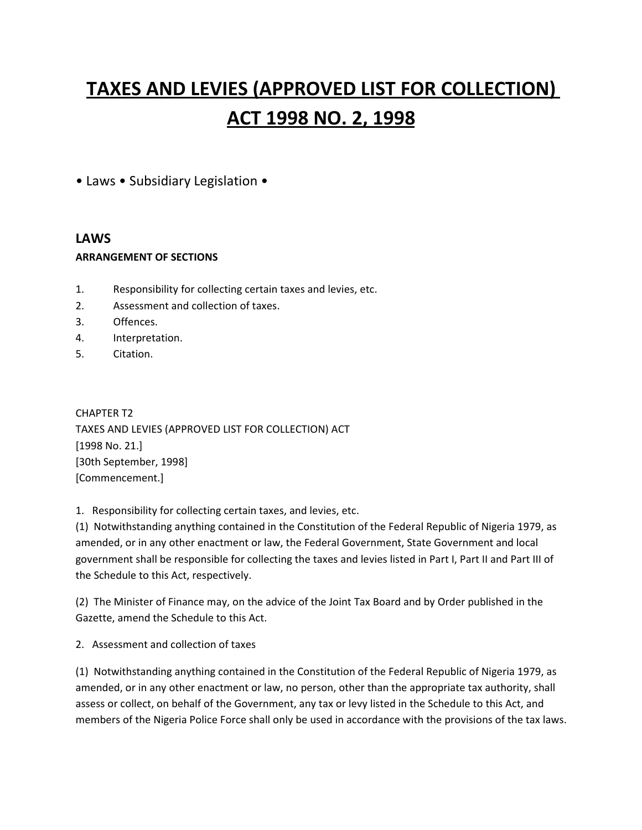# **TAXES AND LEVIES (APPROVED LIST FOR COLLECTION) ACT 1998 NO. 2, 1998**

• Laws • Subsidiary Legislation •

## **LAWS**

#### **ARRANGEMENT OF SECTIONS**

- 1. Responsibility for collecting certain taxes and levies, etc.
- 2. Assessment and collection of taxes.
- 3. Offences.
- 4. Interpretation.
- 5. Citation.

CHAPTER T2 TAXES AND LEVIES (APPROVED LIST FOR COLLECTION) ACT [1998 No. 21.] [30th September, 1998] [Commencement.]

1. Responsibility for collecting certain taxes, and levies, etc.

(1) Notwithstanding anything contained in the Constitution of the Federal Republic of Nigeria 1979, as amended, or in any other enactment or law, the Federal Government, State Government and local government shall be responsible for collecting the taxes and levies listed in Part I, Part II and Part III of the Schedule to this Act, respectively.

(2) The Minister of Finance may, on the advice of the Joint Tax Board and by Order published in the Gazette, amend the Schedule to this Act.

2. Assessment and collection of taxes

(1) Notwithstanding anything contained in the Constitution of the Federal Republic of Nigeria 1979, as amended, or in any other enactment or law, no person, other than the appropriate tax authority, shall assess or collect, on behalf of the Government, any tax or levy listed in the Schedule to this Act, and members of the Nigeria Police Force shall only be used in accordance with the provisions of the tax laws.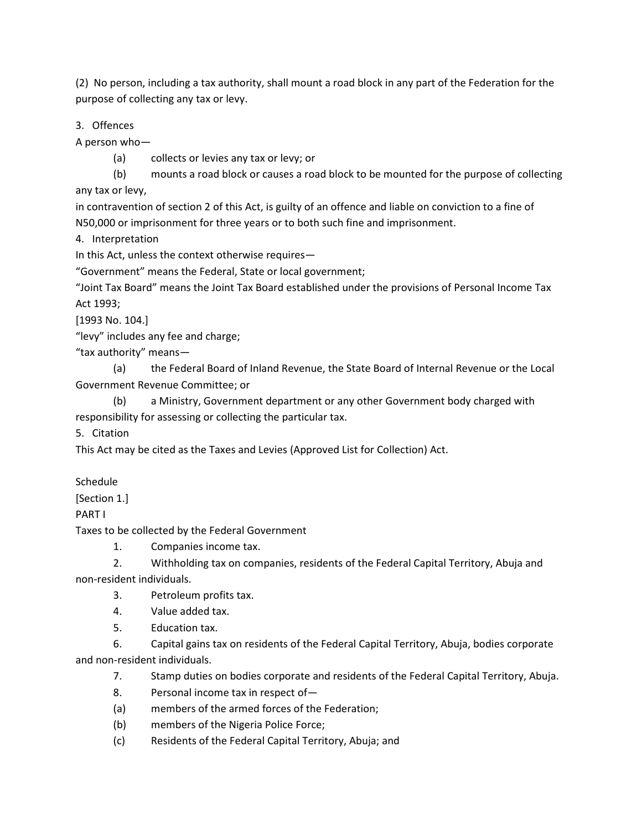(2) No person, including a tax authority, shall mount a road block in any part of the Federation for the purpose of collecting any tax or levy.

3. Offences

A person who—

(a) collects or levies any tax or levy; or

(b) mounts a road block or causes a road block to be mounted for the purpose of collecting any tax or levy,

in contravention of section 2 of this Act, is guilty of an offence and liable on conviction to a fine of N50,000 or imprisonment for three years or to both such fine and imprisonment.

4. Interpretation

In this Act, unless the context otherwise requires—

"Government" means the Federal, State or local government;

"Joint Tax Board" means the Joint Tax Board established under the provisions of Personal Income Tax Act 1993;

[1993 No. 104.]

"levy" includes any fee and charge;

"tax authority" means—

(a) the Federal Board of Inland Revenue, the State Board of Internal Revenue or the Local Government Revenue Committee; or

(b) a Ministry, Government department or any other Government body charged with responsibility for assessing or collecting the particular tax.

5. Citation

This Act may be cited as the Taxes and Levies (Approved List for Collection) Act.

Schedule

[Section 1.]

PART I

Taxes to be collected by the Federal Government

1. Companies income tax.

2. Withholding tax on companies, residents of the Federal Capital Territory, Abuja and non-resident individuals.

- 3. Petroleum profits tax.
- 4. Value added tax.
- 5. Education tax.

6. Capital gains tax on residents of the Federal Capital Territory, Abuja, bodies corporate and non-resident individuals.

7. Stamp duties on bodies corporate and residents of the Federal Capital Territory, Abuja.

- 8. Personal income tax in respect of—
- (a) members of the armed forces of the Federation;
- (b) members of the Nigeria Police Force;
- (c) Residents of the Federal Capital Territory, Abuja; and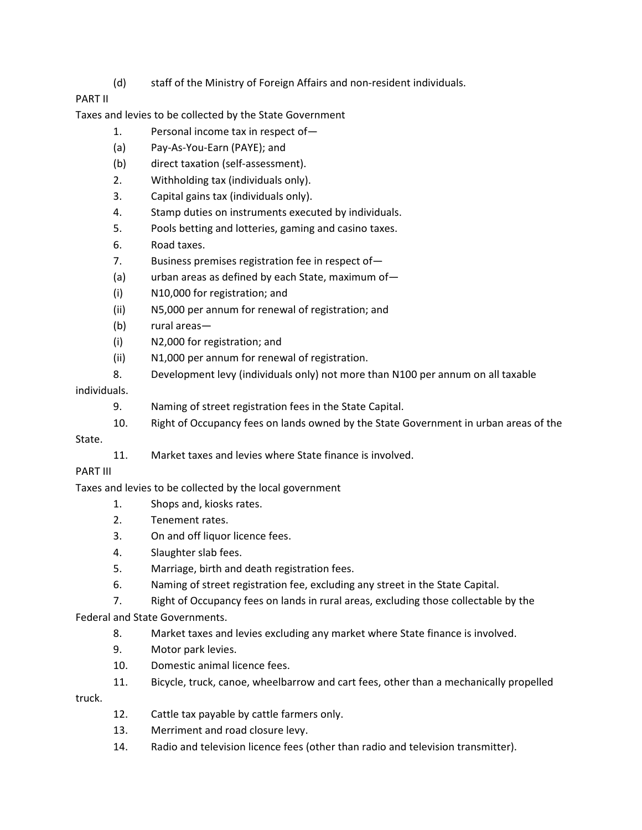(d) staff of the Ministry of Foreign Affairs and non-resident individuals.

### PART II

Taxes and levies to be collected by the State Government

- 1. Personal income tax in respect of—
- (a) Pay-As-You-Earn (PAYE); and
- (b) direct taxation (self-assessment).
- 2. Withholding tax (individuals only).
- 3. Capital gains tax (individuals only).
- 4. Stamp duties on instruments executed by individuals.
- 5. Pools betting and lotteries, gaming and casino taxes.
- 6. Road taxes.
- 7. Business premises registration fee in respect of—
- (a) urban areas as defined by each State, maximum of—
- (i) N10,000 for registration; and
- (ii) N5,000 per annum for renewal of registration; and
- (b) rural areas—
- (i) N2,000 for registration; and
- (ii) N1,000 per annum for renewal of registration.
- 8. Development levy (individuals only) not more than N100 per annum on all taxable

#### individuals.

- 9. Naming of street registration fees in the State Capital.
- 10. Right of Occupancy fees on lands owned by the State Government in urban areas of the

#### State.

11. Market taxes and levies where State finance is involved.

#### PART III

Taxes and levies to be collected by the local government

- 1. Shops and, kiosks rates.
- 2. Tenement rates.
- 3. On and off liquor licence fees.
- 4. Slaughter slab fees.
- 5. Marriage, birth and death registration fees.
- 6. Naming of street registration fee, excluding any street in the State Capital.
- 7. Right of Occupancy fees on lands in rural areas, excluding those collectable by the

Federal and State Governments.

- 8. Market taxes and levies excluding any market where State finance is involved.
- 9. Motor park levies.
- 10. Domestic animal licence fees.
- 11. Bicycle, truck, canoe, wheelbarrow and cart fees, other than a mechanically propelled

truck.

- 12. Cattle tax payable by cattle farmers only.
- 13. Merriment and road closure levy.
- 14. Radio and television licence fees (other than radio and television transmitter).